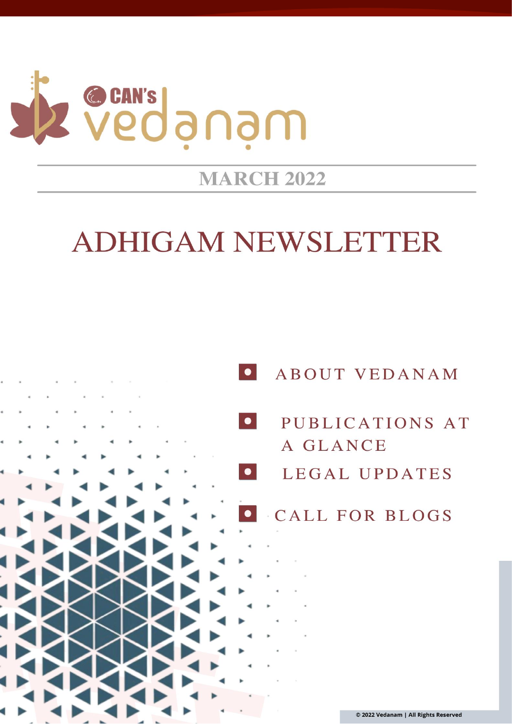

## **MARCH 2022**

# **ADHIGAM NEWSLETTER**

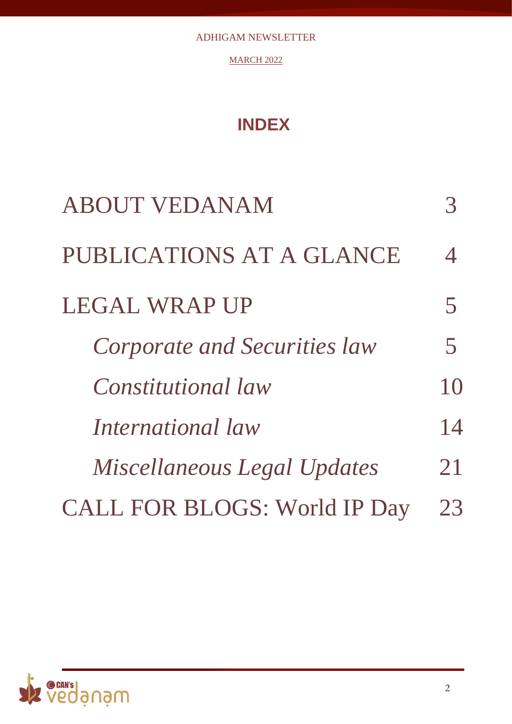**MARCH 2022** 

## **INDEX**

| <b>ABOUT VEDANAM</b>                |               |
|-------------------------------------|---------------|
| PUBLICATIONS AT A GLANCE            | $\mathcal{A}$ |
| <b>LEGAL WRAP UP</b>                | 5             |
| Corporate and Securities law        | 5             |
| <i>Constitutional law</i>           | 10            |
| International law                   | 14            |
| Miscellaneous Legal Updates         | 21            |
| <b>CALL FOR BLOGS: World IP Day</b> | 23            |

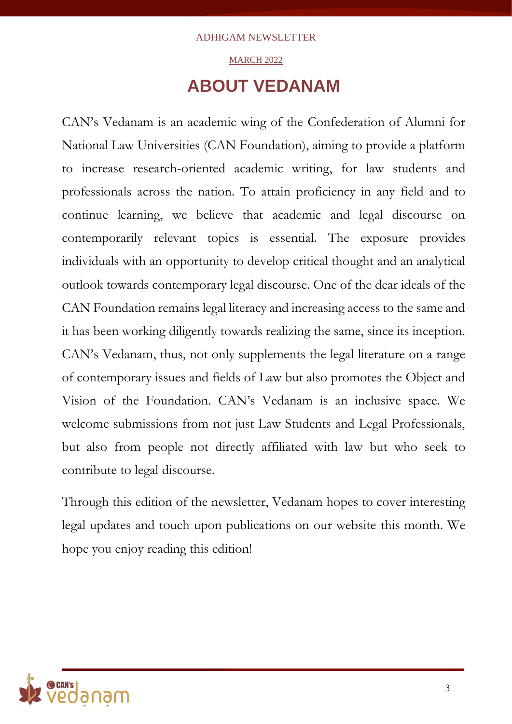### MARCH 2022

## **ABOUT VEDANAM**

CAN's Vedanam is an academic wing of the Confederation of Alumni for National Law Universities (CAN Foundation), aiming to provide a platform to increase research-oriented academic writing, for law students and professionals across the nation. To attain proficiency in any field and to continue learning, we believe that academic and legal discourse on contemporarily relevant topics is essential. The exposure provides individuals with an opportunity to develop critical thought and an analytical outlook towards contemporary legal discourse. One of the dear ideals of the CAN Foundation remains legal literacy and increasing access to the same and it has been working diligently towards realizing the same, since its inception. CAN's Vedanam, thus, not only supplements the legal literature on a range of contemporary issues and fields of Law but also promotes the Object and Vision of the Foundation. CAN's Vedanam is an inclusive space. We welcome submissions from not just Law Students and Legal Professionals, but also from people not directly affiliated with law but who seek to contribute to legal discourse.

Through this edition of the newsletter, Vedanam hopes to cover interesting legal updates and touch upon publications on our website this month. We hope you enjoy reading this edition!

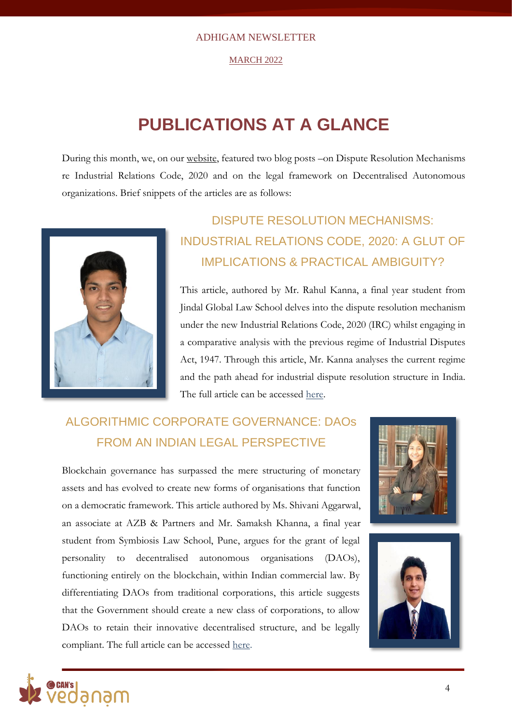#### MARCH 2022

## **PUBLICATIONS AT A GLANCE**

During this month, we, on our [website,](http://vedanam.canfoundation.in/index.php) featured two blog posts –on Dispute Resolution Mechanisms re Industrial Relations Code, 2020 and on the legal framework on Decentralised Autonomous organizations. Brief snippets of the articles are as follows:



## DISPUTE RESOLUTION MECHANISMS: INDUSTRIAL RELATIONS CODE, 2020: A GLUT OF IMPLICATIONS & PRACTICAL AMBIGUITY?

This article, authored by Mr. Rahul Kanna, a final year student from Jindal Global Law School delves into the dispute resolution mechanism under the new Industrial Relations Code, 2020 (IRC) whilst engaging in a comparative analysis with the previous regime of Industrial Disputes Act, 1947. Through this article, Mr. Kanna analyses the current regime and the path ahead for industrial dispute resolution structure in India. The full article can be accessed [here.](http://vedanam.canfoundation.in/blog_dispute_resolution.php)

## ALGORITHMIC CORPORATE GOVERNANCE: DAOs FROM AN INDIAN LEGAL PERSPECTIVE

Blockchain governance has surpassed the mere structuring of monetary assets and has evolved to create new forms of organisations that function on a democratic framework. This article authored by Ms. Shivani Aggarwal, an associate at AZB & Partners and Mr. Samaksh Khanna, a final year student from Symbiosis Law School, Pune, argues for the grant of legal personality to decentralised autonomous organisations (DAOs), functioning entirely on the blockchain, within Indian commercial law. By differentiating DAOs from traditional corporations, this article suggests that the Government should create a new class of corporations, to allow DAOs to retain their innovative decentralised structure, and be legally compliant. The full article can be accessed [here.](http://vedanam.canfoundation.in/blog_decentralised.php)





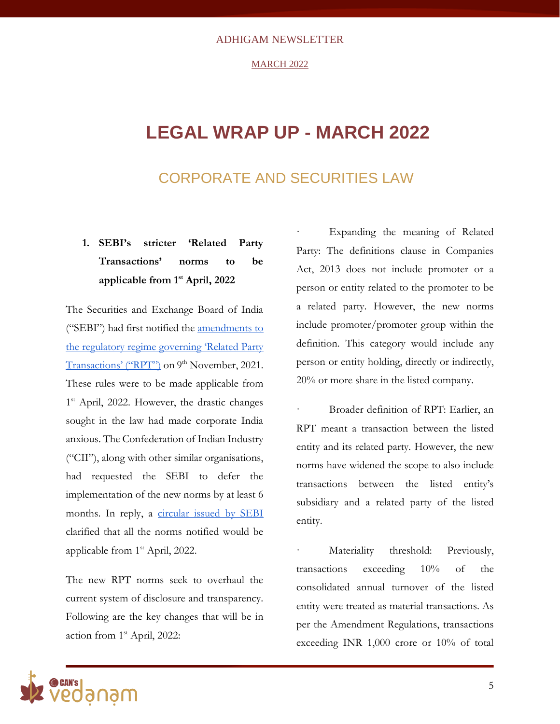#### **MARCH 2022**

## **LEGAL WRAP UP - MARCH 2022**

### CORPORATE AND SECURITIES LAW

### **1. SEBI's stricter 'Related Party Transactions' norms to be applicable from 1st April, 2022**

The Securities and Exchange Board of India ("SEBI") had first notified th[e](https://www.sebi.gov.in/legal/circulars/nov-2021/disclosure-obligations-of-listed-entities-in-relation-to-related-party-transactions_54113.html) [amendments to](https://www.sebi.gov.in/legal/circulars/nov-2021/disclosure-obligations-of-listed-entities-in-relation-to-related-party-transactions_54113.html)  [the regulatory regime governing 'Related Party](https://www.sebi.gov.in/legal/circulars/nov-2021/disclosure-obligations-of-listed-entities-in-relation-to-related-party-transactions_54113.html)  [Transactions' \("RPT"\)](https://www.sebi.gov.in/legal/circulars/nov-2021/disclosure-obligations-of-listed-entities-in-relation-to-related-party-transactions_54113.html) on 9<sup>th</sup> November, 2021. These rules were to be made applicable from 1 st April, 2022. However, the drastic changes sought in the law had made corporate India anxious. The Confederation of Indian Industry ("CII"), along with other similar organisations, had requested the SEBI to defer the implementation of the new norms by at least 6 months. In reply, a [circular issued by SEBI](https://www.sebi.gov.in/legal/circulars/mar-2022/clarification-on-applicability-of-regulation-23-of-sebi-listing-obligations-and-disclosure-requirements-regulations-2015-in-relation-to-related-party-transactions_57398.html) clarified that all the norms notified would be applicable from 1st April, 2022.

The new RPT norms seek to overhaul the current system of disclosure and transparency. Following are the key changes that will be in action from 1st April, 2022:

Expanding the meaning of Related Party: The definitions clause in Companies Act, 2013 does not include promoter or a person or entity related to the promoter to be a related party. However, the new norms include promoter/promoter group within the definition. This category would include any person or entity holding, directly or indirectly, 20% or more share in the listed company.

· Broader definition of RPT: Earlier, an RPT meant a transaction between the listed entity and its related party. However, the new norms have widened the scope to also include transactions between the listed entity's subsidiary and a related party of the listed entity.

Materiality threshold: Previously, transactions exceeding 10% of the consolidated annual turnover of the listed entity were treated as material transactions. As per the Amendment Regulations, transactions exceeding INR 1,000 crore or 10% of total

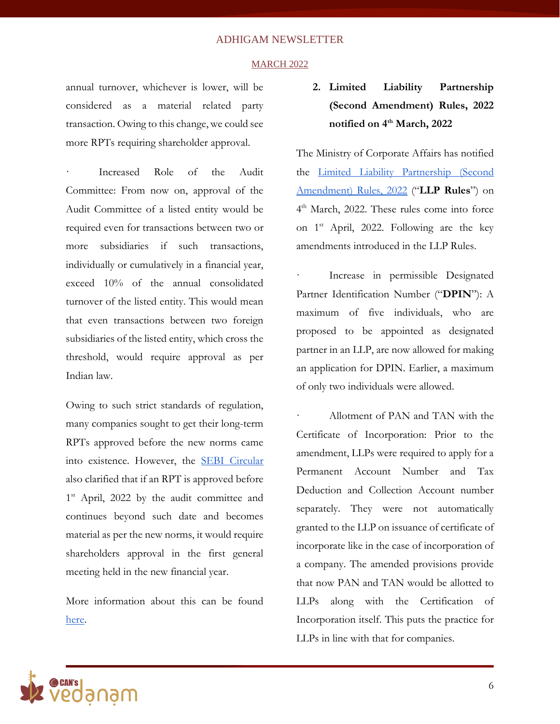#### **MARCH 2022**

annual turnover, whichever is lower, will be considered as a material related party transaction. Owing to this change, we could see more RPTs requiring shareholder approval.

Increased Role of the Audit Committee: From now on, approval of the Audit Committee of a listed entity would be required even for transactions between two or more subsidiaries if such transactions, individually or cumulatively in a financial year, exceed 10% of the annual consolidated turnover of the listed entity. This would mean that even transactions between two foreign subsidiaries of the listed entity, which cross the threshold, would require approval as per Indian law.

Owing to such strict standards of regulation, many companies sought to get their long-term RPTs approved before the new norms came into existence. However, th[e](https://www.sebi.gov.in/legal/circulars/mar-2022/clarification-on-applicability-of-regulation-23-of-sebi-listing-obligations-and-disclosure-requirements-regulations-2015-in-relation-to-related-party-transactions_57398.html) [SEBI Circular](https://www.sebi.gov.in/legal/circulars/mar-2022/clarification-on-applicability-of-regulation-23-of-sebi-listing-obligations-and-disclosure-requirements-regulations-2015-in-relation-to-related-party-transactions_57398.html) also clarified that if an RPT is approved before 1<sup>st</sup> April, 2022 by the audit committee and continues beyond such date and becomes material as per the new norms, it would require shareholders approval in the first general meeting held in the new financial year.

More information about this can be foun[d](https://www.bloombergquint.com/opinion/related-party-transactions-decoding-sebis-latest-amendments-to-the-rpt-regime) [here.](https://www.bloombergquint.com/opinion/related-party-transactions-decoding-sebis-latest-amendments-to-the-rpt-regime)

### **2. Limited Liability Partnership (Second Amendment) Rules, 2022 notified on 4th March, 2022**

The Ministry of Corporate Affairs has notified th[e](https://www.mca.gov.in/bin/dms/getdocument?mds=iorXjBHYBr94XltGw2NNBA%253D%253D&type=open) [Limited Liability Partnership \(Second](https://www.mca.gov.in/bin/dms/getdocument?mds=iorXjBHYBr94XltGw2NNBA%253D%253D&type=open)  [Amendment\) Rules, 2022](https://www.mca.gov.in/bin/dms/getdocument?mds=iorXjBHYBr94XltGw2NNBA%253D%253D&type=open) ("**LLP Rules**") on 4 th March, 2022. These rules come into force on  $1<sup>st</sup>$  April, 2022. Following are the key amendments introduced in the LLP Rules.

Increase in permissible Designated Partner Identification Number ("**DPIN**"): A maximum of five individuals, who are proposed to be appointed as designated partner in an LLP, are now allowed for making an application for DPIN. Earlier, a maximum of only two individuals were allowed.

Allotment of PAN and TAN with the Certificate of Incorporation: Prior to the amendment, LLPs were required to apply for a Permanent Account Number and Tax Deduction and Collection Account number separately. They were not automatically granted to the LLP on issuance of certificate of incorporate like in the case of incorporation of a company. The amended provisions provide that now PAN and TAN would be allotted to LLPs along with the Certification of Incorporation itself. This puts the practice for LLPs in line with that for companies.

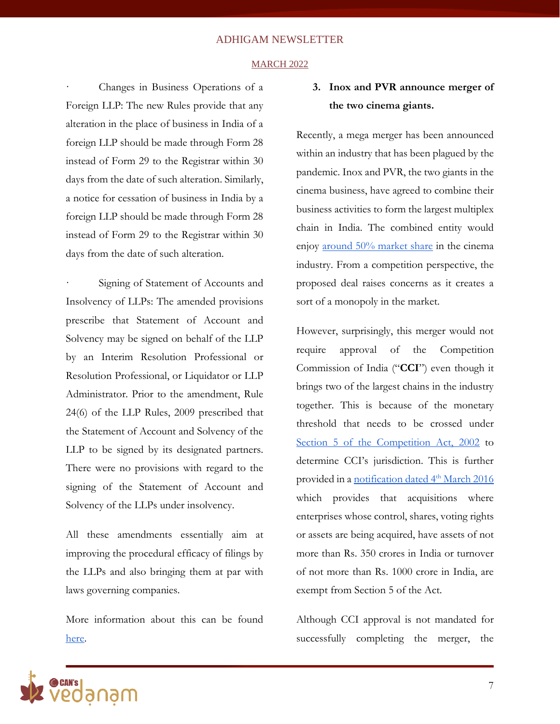#### **MARCH 2022**

Changes in Business Operations of a Foreign LLP: The new Rules provide that any alteration in the place of business in India of a foreign LLP should be made through Form 28 instead of Form 29 to the Registrar within 30 days from the date of such alteration. Similarly, a notice for cessation of business in India by a foreign LLP should be made through Form 28 instead of Form 29 to the Registrar within 30 days from the date of such alteration.

Signing of Statement of Accounts and Insolvency of LLPs: The amended provisions prescribe that Statement of Account and Solvency may be signed on behalf of the LLP by an Interim Resolution Professional or Resolution Professional, or Liquidator or LLP Administrator. Prior to the amendment, Rule 24(6) of the LLP Rules, 2009 prescribed that the Statement of Account and Solvency of the LLP to be signed by its designated partners. There were no provisions with regard to the signing of the Statement of Account and Solvency of the LLPs under insolvency.

All these amendments essentially aim at improving the procedural efficacy of filings by the LLPs and also bringing them at par with laws governing companies.

More information about this can be foun[d](https://www.scvindia.com/Developer/Corporates/SCV%20Corporate%20Alert%2002_22.pdf) [here.](https://www.scvindia.com/Developer/Corporates/SCV%20Corporate%20Alert%2002_22.pdf)

### **3. Inox and PVR announce merger of the two cinema giants.**

Recently, a mega merger has been announced within an industry that has been plagued by the pandemic. Inox and PVR, the two giants in the cinema business, have agreed to combine their business activities to form the largest multiplex chain in India. The combined entity would enjoy [around 50% market share](https://www.business-standard.com/article/markets/merger-boost-inox-leisure-zooms-20-hits-record-high-pvr-jumps-10-122032800195_1.html) in the cinema industry. From a competition perspective, the proposed deal raises concerns as it creates a sort of a monopoly in the market.

However, surprisingly, this merger would not require approval of the Competition Commission of India ("**CCI**") even though it brings two of the largest chains in the industry together. This is because of the monetary threshold that needs to be crossed unde[r](https://indiankanoon.org/doc/632687/) [Section 5 of the Competition Act, 2002](https://indiankanoon.org/doc/632687/) to determine CCI's jurisdiction. This is further provided in [a](https://www.mca.gov.in/Ministry/pdf/Notification_30032017.pdf) [notification dated 4](https://www.mca.gov.in/Ministry/pdf/Notification_30032017.pdf)<sup>[th](https://www.mca.gov.in/Ministry/pdf/Notification_30032017.pdf)</sup> [March 2016](https://www.mca.gov.in/Ministry/pdf/Notification_30032017.pdf) which provides that acquisitions where enterprises whose control, shares, voting rights or assets are being acquired, have assets of not more than Rs. 350 crores in India or turnover of not more than Rs. 1000 crore in India, are exempt from Section 5 of the Act.

Although CCI approval is not mandated for successfully completing the merger, the

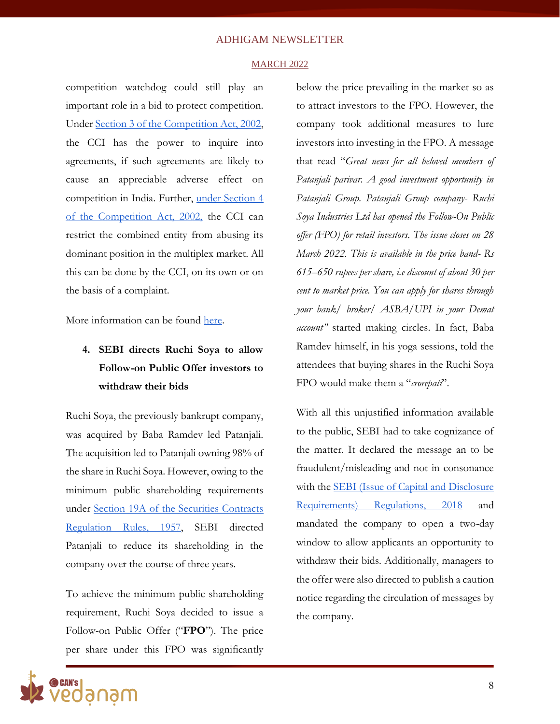#### **MARCH 2022**

competition watchdog could still play an important role in a bid to protect competition. Under [Section 3 of the Competition Act, 2002,](https://indiankanoon.org/doc/1153878/) the CCI has the power to inquire into agreements, if such agreements are likely to cause an appreciable adverse effect on competition in India. Further[,](https://indiankanoon.org/doc/1780194/) [under Section 4](https://indiankanoon.org/doc/1780194/)  [of the Competition Act, 2002,](https://indiankanoon.org/doc/1780194/) the CCI can restrict the combined entity from abusing its dominant position in the multiplex market. All this can be done by the CCI, on its own or on the basis of a complaint.

More information can be foun[d](https://www.bloombergquint.com/business/pvr-inox-merger-may-dodge-cci-review-but-for-how-long) [here.](https://www.bloombergquint.com/business/pvr-inox-merger-may-dodge-cci-review-but-for-how-long)

### **4. SEBI directs Ruchi Soya to allow Follow-on Public Offer investors to withdraw their bids**

Ruchi Soya, the previously bankrupt company, was acquired by Baba Ramdev led Patanjali. The acquisition led to Patanjali owning 98% of the share in Ruchi Soya. However, owing to the minimum public shareholding requirements under [Section 19A of the Securities Contracts](https://www.sebi.gov.in/legal/rules/feb-1957/the-securities-contracts-regulation-rules-1957-last-amended-on-february-25-2015-_13563.html)  [Regulation Rules, 1957,](https://www.sebi.gov.in/legal/rules/feb-1957/the-securities-contracts-regulation-rules-1957-last-amended-on-february-25-2015-_13563.html) SEBI directed Patanjali to reduce its shareholding in the company over the course of three years.

To achieve the minimum public shareholding requirement, Ruchi Soya decided to issue a Follow-on Public Offer ("**FPO**"). The price per share under this FPO was significantly

below the price prevailing in the market so as to attract investors to the FPO. However, the company took additional measures to lure investors into investing in the FPO. A message that read "*Great news for all beloved members of Patanjali parivar. A good investment opportunity in Patanjali Group. Patanjali Group company- Ruchi Soya Industries Ltd has opened the Follow-On Public offer (FPO) for retail investors. The issue closes on 28 March 2022. This is available in the price band- Rs 615–650 rupees per share, i.e discount of about 30 per cent to market price. You can apply for shares through your bank/ broker/ ASBA/UPI in your Demat account"* started making circles. In fact, Baba Ramdev himself, in his yoga sessions, told the attendees that buying shares in the Ruchi Soya FPO would make them a "*crorepati*".

With all this unjustified information available to the public, SEBI had to take cognizance of the matter. It declared the message an to be fraudulent/misleading and not in consonance with the **SEBI** (Issue of Capital and Disclosure [Requirements\) Regulations, 2018](https://www.sebi.gov.in/legal/regulations/jan-2022/securities-and-exchange-board-of-india-issue-of-capital-and-disclosure-requirements-regulations-2018-last-amended-on-january-14-2022-_56069.html) and mandated the company to open a two-day window to allow applicants an opportunity to withdraw their bids. Additionally, managers to the offer were also directed to publish a caution notice regarding the circulation of messages by the company.

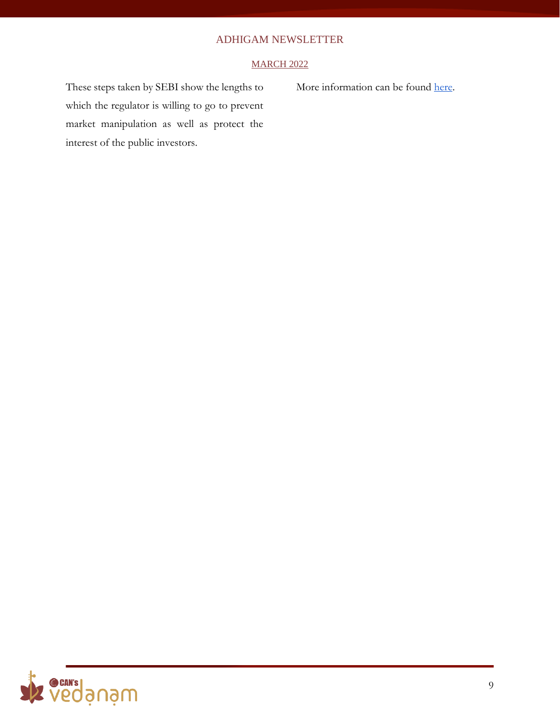### **MARCH 2022**

These steps taken by SEBI show the lengths to which the regulator is willing to go to prevent market manipulation as well as protect the interest of the public investors.

More information can be foun[d](https://www.thehindubusinessline.com/markets/sebi-directs-ruchi-soya-to-give-investors-an-option-to-withdraw-from-its-fpo/article65268378.ece) [here.](https://www.thehindubusinessline.com/markets/sebi-directs-ruchi-soya-to-give-investors-an-option-to-withdraw-from-its-fpo/article65268378.ece)

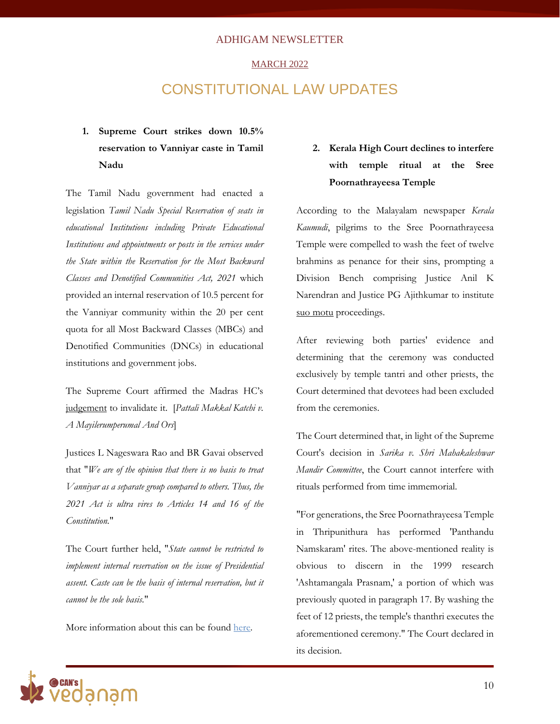#### MARCH 2022

### CONSTITUTIONAL LAW UPDATES

### **1. Supreme Court strikes down 10.5% reservation to Vanniyar caste in Tamil Nadu**

The Tamil Nadu government had enacted a legislation *Tamil Nadu Special Reservation of seats in educational Institutions including Private Educational Institutions and appointments or posts in the services under the State within the Reservation for the Most Backward Classes and Denotified Communities Act, 2021* which provided an internal reservation of 10.5 percent for the Vanniyar community within the 20 per cent quota for all Most Backward Classes (MBCs) and Denotified Communities (DNCs) in educational institutions and government jobs.

The Supreme Court affirmed the Madras HC's [judgement](https://www.barandbench.com/news/litigation/madras-high-court-strikes-down-105-percent-reservation-for-vanniyar-caste) to invalidate it. [*Pattali Makkal Katchi v. A Mayilerumperumal And Ors*]

Justices L Nageswara Rao and BR Gavai observed that "*We are of the opinion that there is no basis to treat Vanniyar as a separate group compared to others. Thus, the 2021 Act is ultra vires to Articles 14 and 16 of the Constitution.*"

The Court further held, "*State cannot be restricted to implement internal reservation on the issue of Presidential assent. Caste can be the basis of internal reservation, but it cannot be the sole basis.*"

More information about this can be found [here.](https://indianexpress.com/article/cities/chennai/supreme-court-strikes-down-10-5-reservation-for-vanniyars-in-tamil-nadu-7845743/)

### **2. Kerala High Court declines to interfere with temple ritual at the Sree Poornathrayeesa Temple**

According to the Malayalam newspaper *Kerala Kaumudi*, pilgrims to the Sree Poornathrayeesa Temple were compelled to wash the feet of twelve brahmins as penance for their sins, prompting a Division Bench comprising Justice Anil K Narendran and Justice PG Ajithkumar to institute [suo motu](https://www.barandbench.com/news/kerala-high-court-initiates-suo-motu-case-after-news-report-claims-devotees-made-to-wash-feet-of-12-brahmins-devaswom-board-disputes-claim) proceedings.

After reviewing both parties' evidence and determining that the ceremony was conducted exclusively by temple tantri and other priests, the Court determined that devotees had been excluded from the ceremonies.

The Court determined that, in light of the Supreme Court's decision in *Sarika v. Shri Mahakaleshwar Mandir Committee*, the Court cannot interfere with rituals performed from time immemorial.

"For generations, the Sree Poornathrayeesa Temple in Thripunithura has performed 'Panthandu Namskaram' rites. The above-mentioned reality is obvious to discern in the 1999 research 'Ashtamangala Prasnam,' a portion of which was previously quoted in paragraph 17. By washing the feet of 12 priests, the temple's thanthri executes the aforementioned ceremony." The Court declared in its decision.

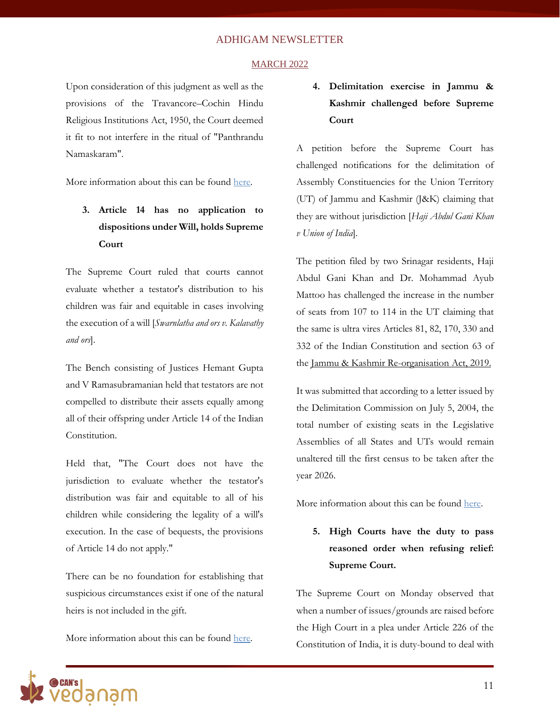#### MARCH 2022

Upon consideration of this judgment as well as the provisions of the Travancore–Cochin Hindu Religious Institutions Act, 1950, the Court deemed it fit to not interfere in the ritual of "Panthrandu Namaskaram".

More information about this can be found [here.](https://www.livelaw.in/news-updates/news-report-claiming-devotees-made-to-wash-feet-of-12-brahmins-at-temple-false-kerala-hc-drops-suo-motu-case-195411)

### **3. Article 14 has no application to dispositions under Will, holds Supreme Court**

The Supreme Court ruled that courts cannot evaluate whether a testator's distribution to his children was fair and equitable in cases involving the execution of a will [*Swarnlatha and ors v. Kalavathy and ors*].

The Bench consisting of Justices Hemant Gupta and V Ramasubramanian held that testators are not compelled to distribute their assets equally among all of their offspring under Article 14 of the Indian Constitution.

Held that, "The Court does not have the jurisdiction to evaluate whether the testator's distribution was fair and equitable to all of his children while considering the legality of a will's execution. In the case of bequests, the provisions of Article 14 do not apply."

There can be no foundation for establishing that suspicious circumstances exist if one of the natural heirs is not included in the gift.

More information about this can be found [here.](https://www.livelaw.in/top-stories/supreme-court-will-article-14-will-suspicious-circumstance-natural-heir-exclusion-swarnalatha-vs-kalavathy-2022-livelaw-sc-328-195393)

### **4. Delimitation exercise in Jammu & Kashmir challenged before Supreme Court**

A petition before the Supreme Court has challenged notifications for the delimitation of Assembly Constituencies for the Union Territory (UT) of Jammu and Kashmir (J&K) claiming that they are without jurisdiction [*Haji Abdul Gani Khan v Union of India*].

The petition filed by two Srinagar residents, Haji Abdul Gani Khan and Dr. Mohammad Ayub Mattoo has challenged the increase in the number of seats from 107 to 114 in the UT claiming that the same is ultra vires Articles 81, 82, 170, 330 and 332 of the Indian Constitution and section 63 of the [Jammu & Kashmir Re-organisation Act, 2019.](https://egazette.nic.in/WriteReadData/2019/210407.pdf)

It was submitted that according to a letter issued by the Delimitation Commission on July 5, 2004, the total number of existing seats in the Legislative Assemblies of all States and UTs would remain unaltered till the first census to be taken after the year 2026.

More information about this can be found [here.](https://www.thehindu.com/news/national/jk-delimitation-exercise-unconstitutional-says-plea-in-sc/article65271376.ece)

**5. High Courts have the duty to pass reasoned order when refusing relief: Supreme Court.**

The Supreme Court on Monday observed that when a number of issues/grounds are raised before the High Court in a plea under Article 226 of the Constitution of India, it is duty-bound to deal with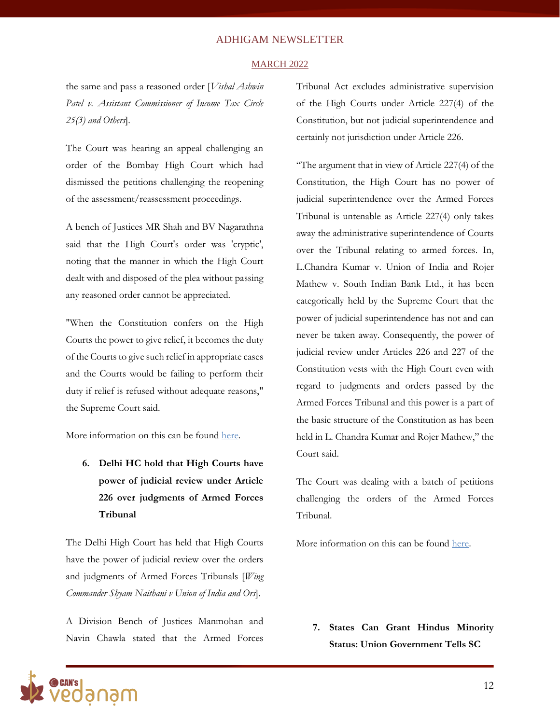#### MARCH 2022

the same and pass a reasoned order [*Vishal Ashwin Patel v. Assistant Commissioner of Income Tax Circle 25(3) and Others*].

The Court was hearing an appeal challenging an order of the Bombay High Court which had dismissed the petitions challenging the reopening of the assessment/reassessment proceedings.

A bench of Justices MR Shah and BV Nagarathna said that the High Court's order was 'cryptic', noting that the manner in which the High Court dealt with and disposed of the plea without passing any reasoned order cannot be appreciated.

"When the Constitution confers on the High Courts the power to give relief, it becomes the duty of the Courts to give such relief in appropriate cases and the Courts would be failing to perform their duty if relief is refused without adequate reasons," the Supreme Court said.

More information on this can be found [here.](https://www.barandbench.com/news/high-courts-have-duty-pass-reasoned-order-when-refusing-relief-supreme-court)

**6. Delhi HC hold that High Courts have power of judicial review under Article 226 over judgments of Armed Forces Tribunal**

The Delhi High Court has held that High Courts have the power of judicial review over the orders and judgments of Armed Forces Tribunals [*Wing Commander Shyam Naithani v Union of India and Ors*].

A Division Bench of Justices Manmohan and Navin Chawla stated that the Armed Forces Tribunal Act excludes administrative supervision of the High Courts under Article 227(4) of the Constitution, but not judicial superintendence and certainly not jurisdiction under Article 226.

"The argument that in view of Article 227(4) of the Constitution, the High Court has no power of judicial superintendence over the Armed Forces Tribunal is untenable as Article 227(4) only takes away the administrative superintendence of Courts over the Tribunal relating to armed forces. In, L.Chandra Kumar v. Union of India and Rojer Mathew v. South Indian Bank Ltd., it has been categorically held by the Supreme Court that the power of judicial superintendence has not and can never be taken away. Consequently, the power of judicial review under Articles 226 and 227 of the Constitution vests with the High Court even with regard to judgments and orders passed by the Armed Forces Tribunal and this power is a part of the basic structure of the Constitution as has been held in L. Chandra Kumar and Rojer Mathew," the Court said.

The Court was dealing with a batch of petitions challenging the orders of the Armed Forces Tribunal.

More information on this can be found [here.](https://indianexpress.com/article/cities/delhi/delhi-high-court-atf-orders-judicial-review-7821932/)

**7. States Can Grant Hindus Minority Status: Union Government Tells SC**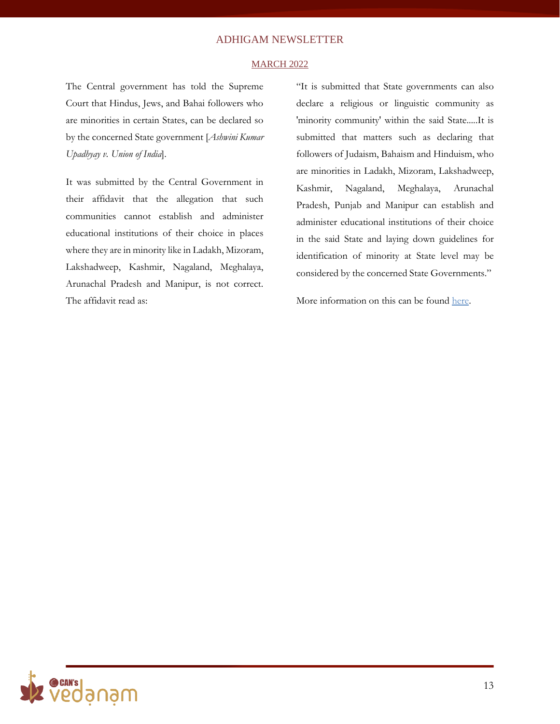#### MARCH 2022

The Central government has told the Supreme Court that Hindus, Jews, and Bahai followers who are minorities in certain States, can be declared so by the concerned State government [*Ashwini Kumar Upadhyay v. Union of India*].

It was submitted by the Central Government in their affidavit that the allegation that such communities cannot establish and administer educational institutions of their choice in places where they are in minority like in Ladakh, Mizoram, Lakshadweep, Kashmir, Nagaland, Meghalaya, Arunachal Pradesh and Manipur, is not correct. The affidavit read as:

"It is submitted that State governments can also declare a religious or linguistic community as 'minority community' within the said State.....It is submitted that matters such as declaring that followers of Judaism, Bahaism and Hinduism, who are minorities in Ladakh, Mizoram, Lakshadweep, Kashmir, Nagaland, Meghalaya, Arunachal Pradesh, Punjab and Manipur can establish and administer educational institutions of their choice in the said State and laying down guidelines for identification of minority at State level may be considered by the concerned State Governments."

More information on this can be found [here.](https://indianexpress.com/article/explained/expert-explains-hindus-minority-govt-affidavit-consistent-with-constitution-7842894/)

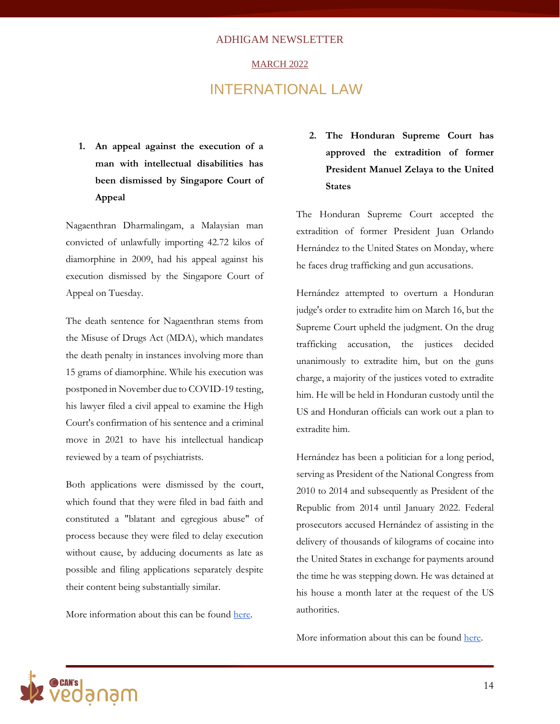#### MARCH 2022

### INTERNATIONAL LAW

**1. An appeal against the execution of a man with intellectual disabilities has been dismissed by Singapore Court of Appeal**

Nagaenthran Dharmalingam, a Malaysian man convicted of unlawfully importing 42.72 kilos of diamorphine in 2009, had his appeal against his execution dismissed by the Singapore Court of Appeal on Tuesday.

The death sentence for Nagaenthran stems from the Misuse of Drugs Act (MDA), which mandates the death penalty in instances involving more than 15 grams of diamorphine. While his execution was postponed in November due to COVID-19 testing, his lawyer filed a civil appeal to examine the High Court's confirmation of his sentence and a criminal move in 2021 to have his intellectual handicap reviewed by a team of psychiatrists.

Both applications were dismissed by the court, which found that they were filed in bad faith and constituted a "blatant and egregious abuse" of process because they were filed to delay execution without cause, by adducing documents as late as possible and filing applications separately despite their content being substantially similar.

More information about this can be found [here.](https://www.theguardian.com/world/2022/mar/29/singapore-appeal-court-upholds-death-sentence-for-nagaenthran-k-dharmalingam)

**2. The Honduran Supreme Court has approved the extradition of former President Manuel Zelaya to the United States**

The Honduran Supreme Court accepted the extradition of former President Juan Orlando Hernández to the United States on Monday, where he faces drug trafficking and gun accusations.

Hernández attempted to overturn a Honduran judge's order to extradite him on March 16, but the Supreme Court upheld the judgment. On the drug trafficking accusation, the justices decided unanimously to extradite him, but on the guns charge, a majority of the justices voted to extradite him. He will be held in Honduran custody until the US and Honduran officials can work out a plan to extradite him.

Hernández has been a politician for a long period, serving as President of the National Congress from 2010 to 2014 and subsequently as President of the Republic from 2014 until January 2022. Federal prosecutors accused Hernández of assisting in the delivery of thousands of kilograms of cocaine into the United States in exchange for payments around the time he was stepping down. He was detained at his house a month later at the request of the US authorities.

More information about this can be found [here.](https://www.telesurenglish.net/news/Court-Upholds-Extradition-of-Former-Honduran-President-to-US-20220407-0023.html)

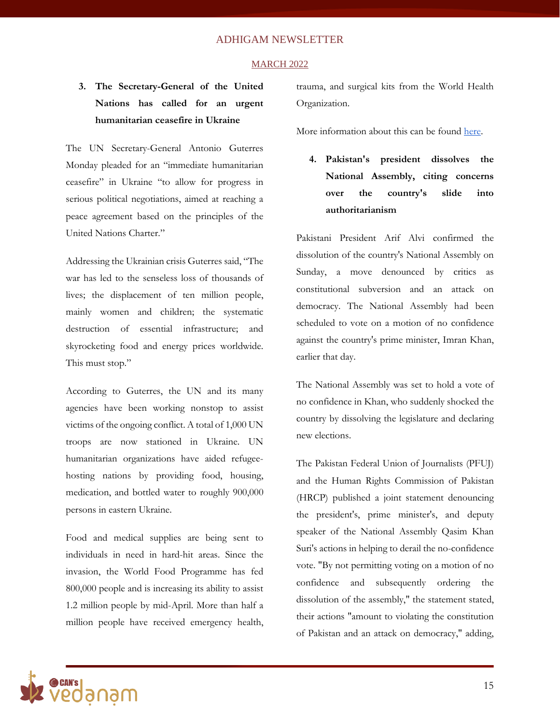#### MARCH 2022

### **3. The Secretary-General of the United Nations has called for an urgent humanitarian ceasefire in Ukraine**

The UN Secretary-General Antonio Guterres Monday pleaded for an "immediate humanitarian ceasefire" in Ukraine "to allow for progress in serious political negotiations, aimed at reaching a peace agreement based on the principles of the United Nations Charter."

Addressing the Ukrainian crisis Guterres said, "The war has led to the senseless loss of thousands of lives; the displacement of ten million people, mainly women and children; the systematic destruction of essential infrastructure; and skyrocketing food and energy prices worldwide. This must stop."

According to Guterres, the UN and its many agencies have been working nonstop to assist victims of the ongoing conflict. A total of 1,000 UN troops are now stationed in Ukraine. UN humanitarian organizations have aided refugeehosting nations by providing food, housing, medication, and bottled water to roughly 900,000 persons in eastern Ukraine.

Food and medical supplies are being sent to individuals in need in hard-hit areas. Since the invasion, the World Food Programme has fed 800,000 people and is increasing its ability to assist 1.2 million people by mid-April. More than half a million people have received emergency health,

trauma, and surgical kits from the World Health Organization.

More information about this can be found [here.](https://www.un.org/sg/en/node/262661)

**4. Pakistan's president dissolves the National Assembly, citing concerns over the country's slide into authoritarianism**

Pakistani President Arif Alvi confirmed the dissolution of the country's National Assembly on Sunday, a move denounced by critics as constitutional subversion and an attack on democracy. The National Assembly had been scheduled to vote on a motion of no confidence against the country's prime minister, Imran Khan, earlier that day.

The National Assembly was set to hold a vote of no confidence in Khan, who suddenly shocked the country by dissolving the legislature and declaring new elections.

The Pakistan Federal Union of Journalists (PFUJ) and the Human Rights Commission of Pakistan (HRCP) published a joint statement denouncing the president's, prime minister's, and deputy speaker of the National Assembly Qasim Khan Suri's actions in helping to derail the no-confidence vote. "By not permitting voting on a motion of no confidence and subsequently ordering the dissolution of the assembly," the statement stated, their actions "amount to violating the constitution of Pakistan and an attack on democracy," adding,

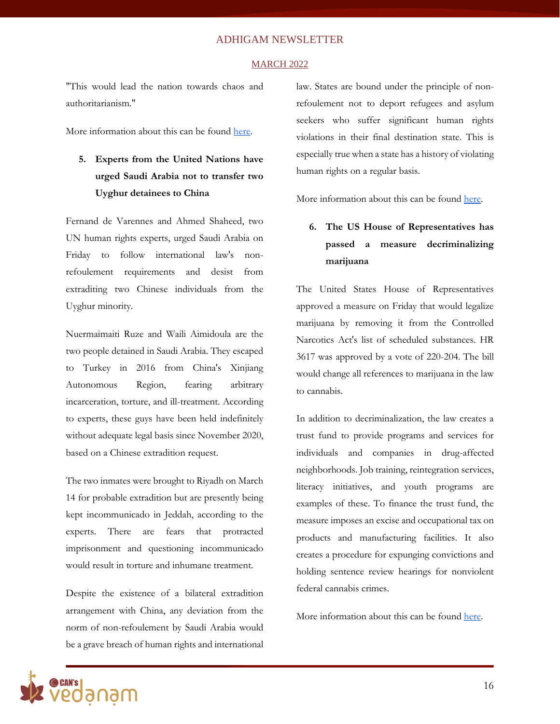#### MARCH 2022

"This would lead the nation towards chaos and authoritarianism."

More information about this can be found [here.](https://economictimes.indiatimes.com/news/international/world-news/pakistan-pm-imran-advises-president-to-dissolve-assemblies-calls-for-fresh-polls/articleshow/90621952.cms)

### **5. Experts from the United Nations have urged Saudi Arabia not to transfer two Uyghur detainees to China**

Fernand de Varennes and Ahmed Shaheed, two UN human rights experts, urged Saudi Arabia on Friday to follow international law's nonrefoulement requirements and desist from extraditing two Chinese individuals from the Uyghur minority.

Nuermaimaiti Ruze and Waili Aimidoula are the two people detained in Saudi Arabia. They escaped to Turkey in 2016 from China's Xinjiang Autonomous Region, fearing arbitrary incarceration, torture, and ill-treatment. According to experts, these guys have been held indefinitely without adequate legal basis since November 2020, based on a Chinese extradition request.

The two inmates were brought to Riyadh on March 14 for probable extradition but are presently being kept incommunicado in Jeddah, according to the experts. There are fears that protracted imprisonment and questioning incommunicado would result in torture and inhumane treatment.

Despite the existence of a bilateral extradition arrangement with China, any deviation from the norm of non-refoulement by Saudi Arabia would be a grave breach of human rights and international law. States are bound under the principle of nonrefoulement not to deport refugees and asylum seekers who suffer significant human rights violations in their final destination state. This is especially true when a state has a history of violating human rights on a regular basis.

More information about this can be found [here.](https://www.ohchr.org/en/press-releases/2022/04/saudi-arabia-un-experts-say-uyghurs-must-not-be-extradited-china-urge-proper)

### **6. The US House of Representatives has passed a measure decriminalizing marijuana**

The United States House of Representatives approved a measure on Friday that would legalize marijuana by removing it from the Controlled Narcotics Act's list of scheduled substances. HR 3617 was approved by a vote of 220-204. The bill would change all references to marijuana in the law to cannabis.

In addition to decriminalization, the law creates a trust fund to provide programs and services for individuals and companies in drug-affected neighborhoods. Job training, reintegration services, literacy initiatives, and youth programs are examples of these. To finance the trust fund, the measure imposes an excise and occupational tax on products and manufacturing facilities. It also creates a procedure for expunging convictions and holding sentence review hearings for nonviolent federal cannabis crimes.

More information about this can be found [here.](https://www.wionews.com/world/us-house-of-representatives-passes-bill-to-decriminalise-cannabis-467543)

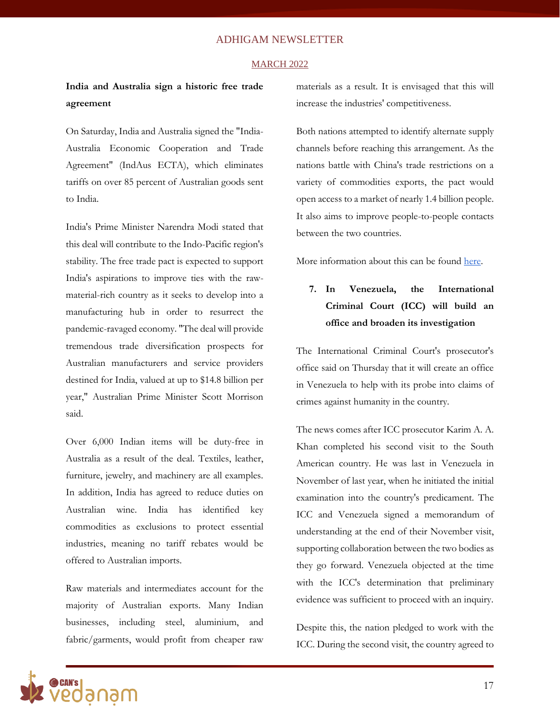#### MARCH 2022

### **India and Australia sign a historic free trade agreement**

On Saturday, India and Australia signed the "India-Australia Economic Cooperation and Trade Agreement" (IndAus ECTA), which eliminates tariffs on over 85 percent of Australian goods sent to India.

India's Prime Minister Narendra Modi stated that this deal will contribute to the Indo-Pacific region's stability. The free trade pact is expected to support India's aspirations to improve ties with the rawmaterial-rich country as it seeks to develop into a manufacturing hub in order to resurrect the pandemic-ravaged economy. "The deal will provide tremendous trade diversification prospects for Australian manufacturers and service providers destined for India, valued at up to \$14.8 billion per year," Australian Prime Minister Scott Morrison said.

Over 6,000 Indian items will be duty-free in Australia as a result of the deal. Textiles, leather, furniture, jewelry, and machinery are all examples. In addition, India has agreed to reduce duties on Australian wine. India has identified key commodities as exclusions to protect essential industries, meaning no tariff rebates would be offered to Australian imports.

Raw materials and intermediates account for the majority of Australian exports. Many Indian businesses, including steel, aluminium, and fabric/garments, would profit from cheaper raw materials as a result. It is envisaged that this will increase the industries' competitiveness.

Both nations attempted to identify alternate supply channels before reaching this arrangement. As the nations battle with China's trade restrictions on a variety of commodities exports, the pact would open access to a market of nearly 1.4 billion people. It also aims to improve people-to-people contacts between the two countries.

More information about this can be found [here.](https://theprint.in/diplomacy/theres-a-panda-in-the-room-why-australia-signed-historic-free-trade-pact-with-india/902363/)

### **7. In Venezuela, the International Criminal Court (ICC) will build an office and broaden its investigation**

The International Criminal Court's prosecutor's office said on Thursday that it will create an office in Venezuela to help with its probe into claims of crimes against humanity in the country.

The news comes after ICC prosecutor Karim A. A. Khan completed his second visit to the South American country. He was last in Venezuela in November of last year, when he initiated the initial examination into the country's predicament. The ICC and Venezuela signed a memorandum of understanding at the end of their November visit, supporting collaboration between the two bodies as they go forward. Venezuela objected at the time with the ICC's determination that preliminary evidence was sufficient to proceed with an inquiry.

Despite this, the nation pledged to work with the ICC. During the second visit, the country agreed to

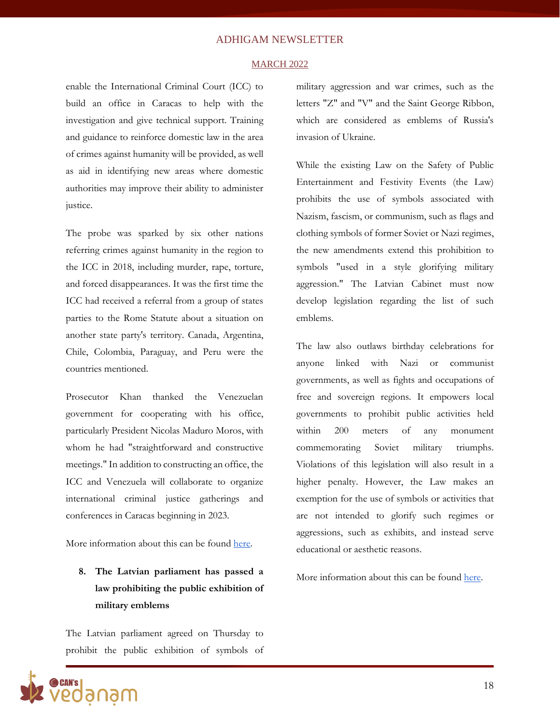#### MARCH 2022

enable the International Criminal Court (ICC) to build an office in Caracas to help with the investigation and give technical support. Training and guidance to reinforce domestic law in the area of crimes against humanity will be provided, as well as aid in identifying new areas where domestic authorities may improve their ability to administer justice.

The probe was sparked by six other nations referring crimes against humanity in the region to the ICC in 2018, including murder, rape, torture, and forced disappearances. It was the first time the ICC had received a referral from a group of states parties to the Rome Statute about a situation on another state party's territory. Canada, Argentina, Chile, Colombia, Paraguay, and Peru were the countries mentioned.

Prosecutor Khan thanked the Venezuelan government for cooperating with his office, particularly President Nicolas Maduro Moros, with whom he had "straightforward and constructive meetings." In addition to constructing an office, the ICC and Venezuela will collaborate to organize international criminal justice gatherings and conferences in Caracas beginning in 2023.

More information about this can be found [here.](https://www.icc-cpi.int/Pages/item.aspx?name=pr1625)

### **8. The Latvian parliament has passed a law prohibiting the public exhibition of military emblems**

The Latvian parliament agreed on Thursday to prohibit the public exhibition of symbols of military aggression and war crimes, such as the letters "Z" and "V" and the Saint George Ribbon, which are considered as emblems of Russia's invasion of Ukraine.

While the existing Law on the Safety of Public Entertainment and Festivity Events (the Law) prohibits the use of symbols associated with Nazism, fascism, or communism, such as flags and clothing symbols of former Soviet or Nazi regimes, the new amendments extend this prohibition to symbols "used in a style glorifying military aggression." The Latvian Cabinet must now develop legislation regarding the list of such emblems.

The law also outlaws birthday celebrations for anyone linked with Nazi or communist governments, as well as fights and occupations of free and sovereign regions. It empowers local governments to prohibit public activities held within 200 meters of any monument commemorating Soviet military triumphs. Violations of this legislation will also result in a higher penalty. However, the Law makes an exemption for the use of symbols or activities that are not intended to glorify such regimes or aggressions, such as exhibits, and instead serve educational or aesthetic reasons.

More information about this can be found [here.](https://www.euronews.com/2022/03/31/latvian-parliament-approves-ban-on-russian-military-symbols-v-and-z)

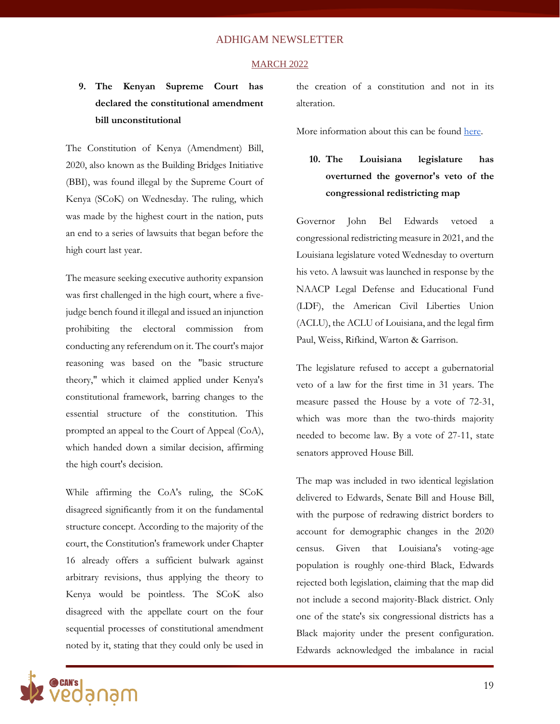#### MARCH 2022

### **9. The Kenyan Supreme Court has declared the constitutional amendment bill unconstitutional**

The Constitution of Kenya (Amendment) Bill, 2020, also known as the Building Bridges Initiative (BBI), was found illegal by the Supreme Court of Kenya (SCoK) on Wednesday. The ruling, which was made by the highest court in the nation, puts an end to a series of lawsuits that began before the high court last year.

The measure seeking executive authority expansion was first challenged in the high court, where a fivejudge bench found it illegal and issued an injunction prohibiting the electoral commission from conducting any referendum on it. The court's major reasoning was based on the "basic structure theory," which it claimed applied under Kenya's constitutional framework, barring changes to the essential structure of the constitution. This prompted an appeal to the Court of Appeal (CoA), which handed down a similar decision, affirming the high court's decision.

While affirming the CoA's ruling, the SCoK disagreed significantly from it on the fundamental structure concept. According to the majority of the court, the Constitution's framework under Chapter 16 already offers a sufficient bulwark against arbitrary revisions, thus applying the theory to Kenya would be pointless. The SCoK also disagreed with the appellate court on the four sequential processes of constitutional amendment noted by it, stating that they could only be used in

the creation of a constitution and not in its alteration.

More information about this can be found [here.](https://www.aljazeera.com/news/2022/3/31/kenyas-top-court-to-rule-on-contested-constitutional-reforms)

### **10. The Louisiana legislature has overturned the governor's veto of the congressional redistricting map**

Governor John Bel Edwards vetoed a congressional redistricting measure in 2021, and the Louisiana legislature voted Wednesday to overturn his veto. A lawsuit was launched in response by the NAACP Legal Defense and Educational Fund (LDF), the American Civil Liberties Union (ACLU), the ACLU of Louisiana, and the legal firm Paul, Weiss, Rifkind, Warton & Garrison.

The legislature refused to accept a gubernatorial veto of a law for the first time in 31 years. The measure passed the House by a vote of 72-31, which was more than the two-thirds majority needed to become law. By a vote of 27-11, state senators approved House Bill.

The map was included in two identical legislation delivered to Edwards, Senate Bill and House Bill, with the purpose of redrawing district borders to account for demographic changes in the 2020 census. Given that Louisiana's voting-age population is roughly one-third Black, Edwards rejected both legislation, claiming that the map did not include a second majority-Black district. Only one of the state's six congressional districts has a Black majority under the present configuration. Edwards acknowledged the imbalance in racial

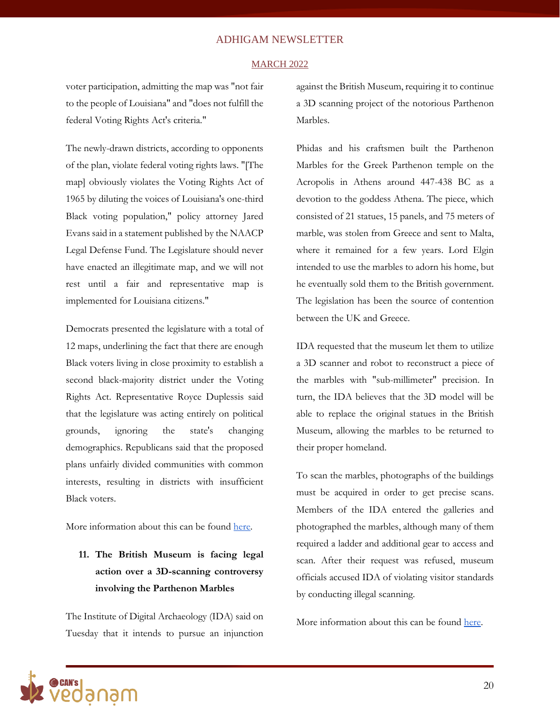#### MARCH 2022

voter participation, admitting the map was "not fair to the people of Louisiana" and "does not fulfill the federal Voting Rights Act's criteria."

The newly-drawn districts, according to opponents of the plan, violate federal voting rights laws. "[The map] obviously violates the Voting Rights Act of 1965 by diluting the voices of Louisiana's one-third Black voting population," policy attorney Jared Evans said in a statement published by the NAACP Legal Defense Fund. The Legislature should never have enacted an illegitimate map, and we will not rest until a fair and representative map is implemented for Louisiana citizens."

Democrats presented the legislature with a total of 12 maps, underlining the fact that there are enough Black voters living in close proximity to establish a second black-majority district under the Voting Rights Act. Representative Royce Duplessis said that the legislature was acting entirely on political grounds, ignoring the state's changing demographics. Republicans said that the proposed plans unfairly divided communities with common interests, resulting in districts with insufficient Black voters.

More information about this can be found [here.](https://www.reuters.com/world/us/louisiana-republicans-override-governors-veto-enact-new-congressional-map-2022-03-31/)

**11. The British Museum is facing legal action over a 3D-scanning controversy involving the Parthenon Marbles**

The Institute of Digital Archaeology (IDA) said on Tuesday that it intends to pursue an injunction against the British Museum, requiring it to continue a 3D scanning project of the notorious Parthenon Marbles.

Phidas and his craftsmen built the Parthenon Marbles for the Greek Parthenon temple on the Acropolis in Athens around 447-438 BC as a devotion to the goddess Athena. The piece, which consisted of 21 statues, 15 panels, and 75 meters of marble, was stolen from Greece and sent to Malta, where it remained for a few years. Lord Elgin intended to use the marbles to adorn his home, but he eventually sold them to the British government. The legislation has been the source of contention between the UK and Greece.

IDA requested that the museum let them to utilize a 3D scanner and robot to reconstruct a piece of the marbles with "sub-millimeter" precision. In turn, the IDA believes that the 3D model will be able to replace the original statues in the British Museum, allowing the marbles to be returned to their proper homeland.

To scan the marbles, photographs of the buildings must be acquired in order to get precise scans. Members of the IDA entered the galleries and photographed the marbles, although many of them required a ladder and additional gear to access and scan. After their request was refused, museum officials accused IDA of violating visitor standards by conducting illegal scanning.

More information about this can be found [here.](https://www.theguardian.com/artanddesign/2022/mar/29/british-museum-facing-legal-action-parthenon-marbles-3d-scan-refusal)

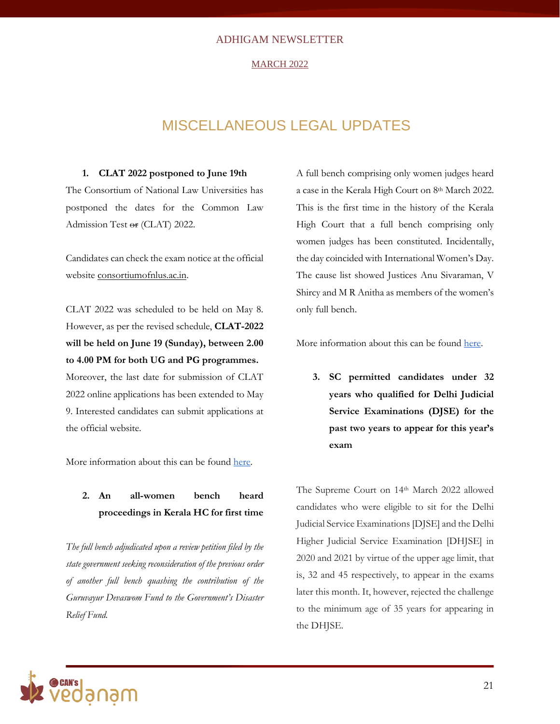#### MARCH 2022

### MISCELLANEOUS LEGAL UPDATES

#### **1. CLAT 2022 postponed to June 19th**

The Consortium of National Law Universities has postponed the dates for the Common Law Admission Test or (CLAT) 2022.

Candidates can check the exam notice at the official website [consortiumofnlus.ac.in.](https://consortiumofnlus.ac.in/)

CLAT 2022 was scheduled to be held on May 8. However, as per the revised schedule, **CLAT-2022 will be held on June 19 (Sunday), between 2.00 to 4.00 PM for both UG and PG programmes.** Moreover, the last date for submission of CLAT 2022 online applications has been extended to May 9. Interested candidates can submit applications at the official website.

More information about this can be found [here.](https://consortiumofnlus.ac.in/clat-2022/notifications/CLAT-2022-Rescheduled-Notification-dt.14.03.2022.pdf)

### **2. An all-women bench heard proceedings in Kerala HC for first time**

*The full bench adjudicated upon a review petition filed by the state government seeking reconsideration of the previous order of another full bench quashing the contribution of the Guruvayur Devaswom Fund to the Government's Disaster Relief Fund.*

A full bench comprising only women judges heard a case in the Kerala High Court on 8th March 2022. This is the first time in the history of the Kerala High Court that a full bench comprising only women judges has been constituted. Incidentally, the day coincided with International Women's Day. The cause list showed Justices Anu Sivaraman, V Shircy and M R Anitha as members of the women's only full bench.

More information about this can be found [here.](https://theleaflet.in/on-international-womens-day-an-all-women-full-bench-for-first-time-in-kerala-hc-history/)

**3. SC permitted candidates under 32 years who qualified for Delhi Judicial Service Examinations (DJSE) for the past two years to appear for this year's exam**

The Supreme Court on 14th March 2022 allowed candidates who were eligible to sit for the Delhi Judicial Service Examinations [DJSE] and the Delhi Higher Judicial Service Examination [DHJSE] in 2020 and 2021 by virtue of the upper age limit, that is, 32 and 45 respectively, to appear in the exams later this month. It, however, rejected the challenge to the minimum age of 35 years for appearing in the DHJSE.

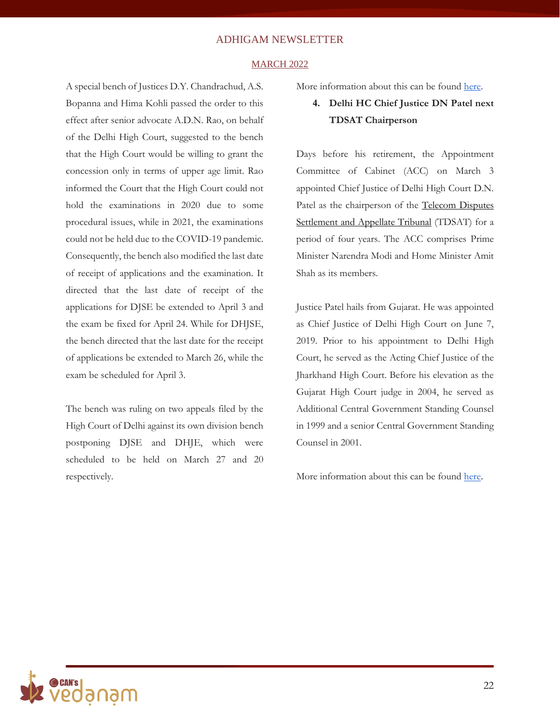#### MARCH 2022

A special bench of Justices D.Y. Chandrachud, A.S. Bopanna and Hima Kohli passed the order to this effect after senior advocate A.D.N. Rao, on behalf of the Delhi High Court, suggested to the bench that the High Court would be willing to grant the concession only in terms of upper age limit. Rao informed the Court that the High Court could not hold the examinations in 2020 due to some procedural issues, while in 2021, the examinations could not be held due to the COVID-19 pandemic. Consequently, the bench also modified the last date of receipt of applications and the examination. It directed that the last date of receipt of the applications for DJSE be extended to April 3 and the exam be fixed for April 24. While for DHJSE, the bench directed that the last date for the receipt of applications be extended to March 26, while the exam be scheduled for April 3.

The bench was ruling on two appeals filed by the High Court of Delhi against its own division bench postponing DJSE and DHJE, which were scheduled to be held on March 27 and 20 respectively.

More information about this can be found [here.](https://theprint.in/india/sc-relaxes-upper-age-limit-for-candidates-who-became-age-barred-for-judicial-exams-of-2022/873207/)

**4. Delhi HC Chief Justice DN Patel next TDSAT Chairperson**

Days before his retirement, the Appointment Committee of Cabinet (ACC) on March 3 appointed Chief Justice of Delhi High Court D.N. Patel as the chairperson of the [Telecom Disputes](https://tdsat.gov.in/Delhi/Delhi.php)  [Settlement and Appellate Tribunal](https://tdsat.gov.in/Delhi/Delhi.php) (TDSAT) for a period of four years. The ACC comprises Prime Minister Narendra Modi and Home Minister Amit Shah as its members.

Justice Patel hails from Gujarat. He was appointed as Chief Justice of Delhi High Court on June 7, 2019. Prior to his appointment to Delhi High Court, he served as the Acting Chief Justice of the Jharkhand High Court. Before his elevation as the Gujarat High Court judge in 2004, he served as Additional Central Government Standing Counsel in 1999 and a senior Central Government Standing Counsel in 2001.

More information about this can be found [here.](https://www.tribuneindia.com/news/business/delhi-hc-chief-justice-dn-patel-next-tdsat-chairperson-375386)

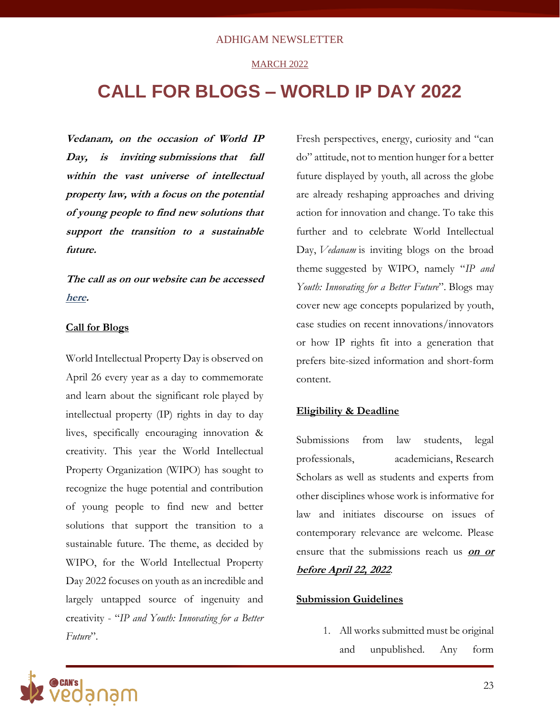### **MARCH 2022**

## **CALL FOR BLOGS – WORLD IP DAY 2022**

**Vedanam, on the occasion of World IP Day, is inviting submissions that fall within the vast universe of intellectual property law, with a focus on the potential of young people to find new solutions that support the transition to a sustainable future.**

**The call as on our website can be accessed [here.](http://vedanam.canfoundation.in/call-for-submission.php)** 

### **Call for Blogs**

World Intellectual Property Day is observed on April 26 every year as a day to commemorate and learn about the significant role played by intellectual property (IP) rights in day to day lives, specifically encouraging innovation & creativity. This year the World Intellectual Property Organization (WIPO) has sought to recognize the huge potential and contribution of young people to find new and better solutions that support the transition to a sustainable future. The theme, as decided by WIPO, for the World Intellectual Property Day 2022 focuses on youth as an incredible and largely untapped source of ingenuity and creativity - "*IP and Youth: Innovating for a Better Future*".

Fresh perspectives, energy, curiosity and "can do" attitude, not to mention hunger for a better future displayed by youth, all across the globe are already reshaping approaches and driving action for innovation and change. To take this further and to celebrate World Intellectual Day, *Vedanam* is inviting blogs on the broad theme suggested by WIPO, namely "*IP and Youth: Innovating for a Better Future*". Blogs may cover new age concepts popularized by youth, case studies on recent innovations/innovators or how IP rights fit into a generation that prefers bite-sized information and short-form content.

### **Eligibility & Deadline**

Submissions from law students, legal professionals, academicians, Research Scholars as well as students and experts from other disciplines whose work is informative for law and initiates discourse on issues of contemporary relevance are welcome. Please ensure that the submissions reach us **on or before April 22, 2022**.

### **Submission Guidelines**

1. All works submitted must be original and unpublished. Any form

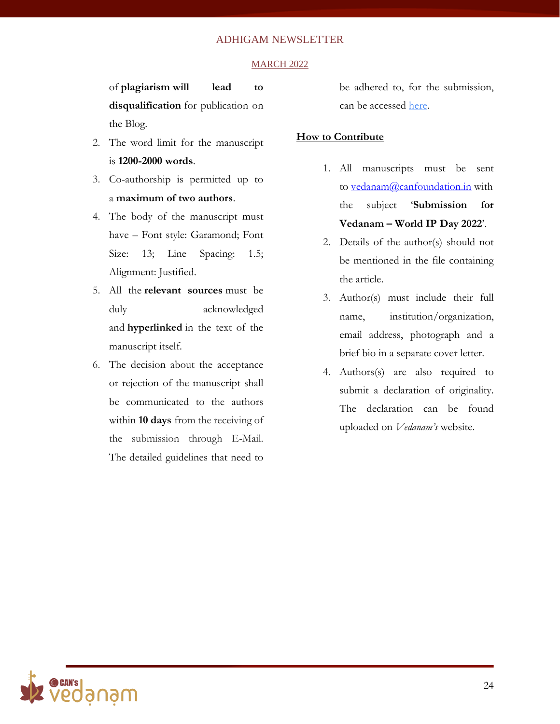#### **MARCH 2022**

of **plagiarism will lead to disqualification** for publication on the Blog.

- 2. The word limit for the manuscript is **1200-2000 words**.
- 3. Co-authorship is permitted up to a **maximum of two authors**.
- 4. The body of the manuscript must have – Font style: Garamond; Font Size: 13; Line Spacing: 1.5; Alignment: Justified.
- 5. All the **relevant sources** must be duly acknowledged and **hyperlinked** in the text of the manuscript itself.
- 6. The decision about the acceptance or rejection of the manuscript shall be communicated to the authors within **10 days** from the receiving of the submission through E-Mail. The detailed guidelines that need to

be adhered to, for the submission, can be accessed [here.](http://vedanam.canfoundation.in/submission-guidelines.php)

### **How to Contribute**

- 1. All manuscripts must be sent to [vedanam@canfoundation.in](mailto:vedanam@canfoundation.in) with the subject '**Submission for Vedanam – World IP Day 2022**'.
- 2. Details of the author(s) should not be mentioned in the file containing the article.
- 3. Author(s) must include their full name, institution/organization, email address, photograph and a brief bio in a separate cover letter.
- 4. Authors(s) are also required to submit a declaration of originality. The declaration can be found uploaded on *Vedanam's* website.